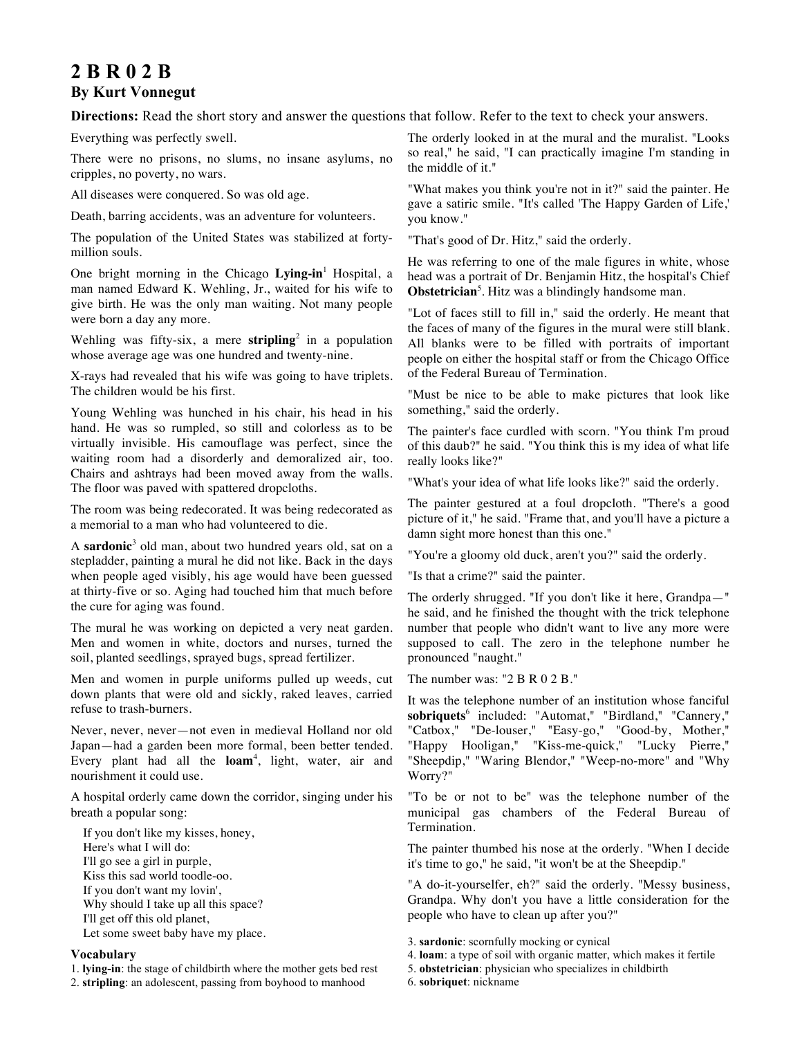# **2 B R 0 2 B By Kurt Vonnegut**

**Directions:** Read the short story and answer the questions that follow. Refer to the text to check your answers.

Everything was perfectly swell.

There were no prisons, no slums, no insane asylums, no cripples, no poverty, no wars.

All diseases were conquered. So was old age.

Death, barring accidents, was an adventure for volunteers.

The population of the United States was stabilized at fortymillion souls.

One bright morning in the Chicago **Lying-in**<sup>1</sup> Hospital, a man named Edward K. Wehling, Jr., waited for his wife to give birth. He was the only man waiting. Not many people were born a day any more.

Wehling was fifty-six, a mere **stripling**<sup>2</sup> in a population whose average age was one hundred and twenty-nine.

X-rays had revealed that his wife was going to have triplets. The children would be his first.

Young Wehling was hunched in his chair, his head in his hand. He was so rumpled, so still and colorless as to be virtually invisible. His camouflage was perfect, since the waiting room had a disorderly and demoralized air, too. Chairs and ashtrays had been moved away from the walls. The floor was paved with spattered dropcloths.

The room was being redecorated. It was being redecorated as a memorial to a man who had volunteered to die.

A **sardonic**<sup>3</sup> old man, about two hundred years old, sat on a stepladder, painting a mural he did not like. Back in the days when people aged visibly, his age would have been guessed at thirty-five or so. Aging had touched him that much before the cure for aging was found.

The mural he was working on depicted a very neat garden. Men and women in white, doctors and nurses, turned the soil, planted seedlings, sprayed bugs, spread fertilizer.

Men and women in purple uniforms pulled up weeds, cut down plants that were old and sickly, raked leaves, carried refuse to trash-burners.

Never, never, never—not even in medieval Holland nor old Japan—had a garden been more formal, been better tended. Every plant had all the **loam**<sup>4</sup> , light, water, air and nourishment it could use.

A hospital orderly came down the corridor, singing under his breath a popular song:

If you don't like my kisses, honey, Here's what I will do: I'll go see a girl in purple, Kiss this sad world toodle-oo. If you don't want my lovin', Why should I take up all this space? I'll get off this old planet, Let some sweet baby have my place.

## **Vocabulary**

1. **lying-in**: the stage of childbirth where the mother gets bed rest

2. **stripling**: an adolescent, passing from boyhood to manhood

The orderly looked in at the mural and the muralist. "Looks so real," he said, "I can practically imagine I'm standing in the middle of it."

"What makes you think you're not in it?" said the painter. He gave a satiric smile. "It's called 'The Happy Garden of Life,' you know."

"That's good of Dr. Hitz," said the orderly.

He was referring to one of the male figures in white, whose head was a portrait of Dr. Benjamin Hitz, the hospital's Chief **Obstetrician**<sup>5</sup>. Hitz was a blindingly handsome man.

"Lot of faces still to fill in," said the orderly. He meant that the faces of many of the figures in the mural were still blank. All blanks were to be filled with portraits of important people on either the hospital staff or from the Chicago Office of the Federal Bureau of Termination.

"Must be nice to be able to make pictures that look like something," said the orderly.

The painter's face curdled with scorn. "You think I'm proud of this daub?" he said. "You think this is my idea of what life really looks like?"

"What's your idea of what life looks like?" said the orderly.

The painter gestured at a foul dropcloth. "There's a good picture of it," he said. "Frame that, and you'll have a picture a damn sight more honest than this one."

"You're a gloomy old duck, aren't you?" said the orderly.

"Is that a crime?" said the painter.

The orderly shrugged. "If you don't like it here, Grandpa—" he said, and he finished the thought with the trick telephone number that people who didn't want to live any more were supposed to call. The zero in the telephone number he pronounced "naught."

The number was: "2 B R 0 2 B."

It was the telephone number of an institution whose fanciful **sobriquets**<sup>6</sup> included: "Automat," "Birdland," "Cannery," "Catbox," "De-louser," "Easy-go," "Good-by, Mother," "Happy Hooligan," "Kiss-me-quick," "Lucky Pierre," "Sheepdip," "Waring Blendor," "Weep-no-more" and "Why Worry?"

"To be or not to be" was the telephone number of the municipal gas chambers of the Federal Bureau of Termination.

The painter thumbed his nose at the orderly. "When I decide it's time to go," he said, "it won't be at the Sheepdip."

"A do-it-yourselfer, eh?" said the orderly. "Messy business, Grandpa. Why don't you have a little consideration for the people who have to clean up after you?"

3. **sardonic**: scornfully mocking or cynical

- 4. **loam**: a type of soil with organic matter, which makes it fertile
- 5. **obstetrician**: physician who specializes in childbirth
- 6. **sobriquet**: nickname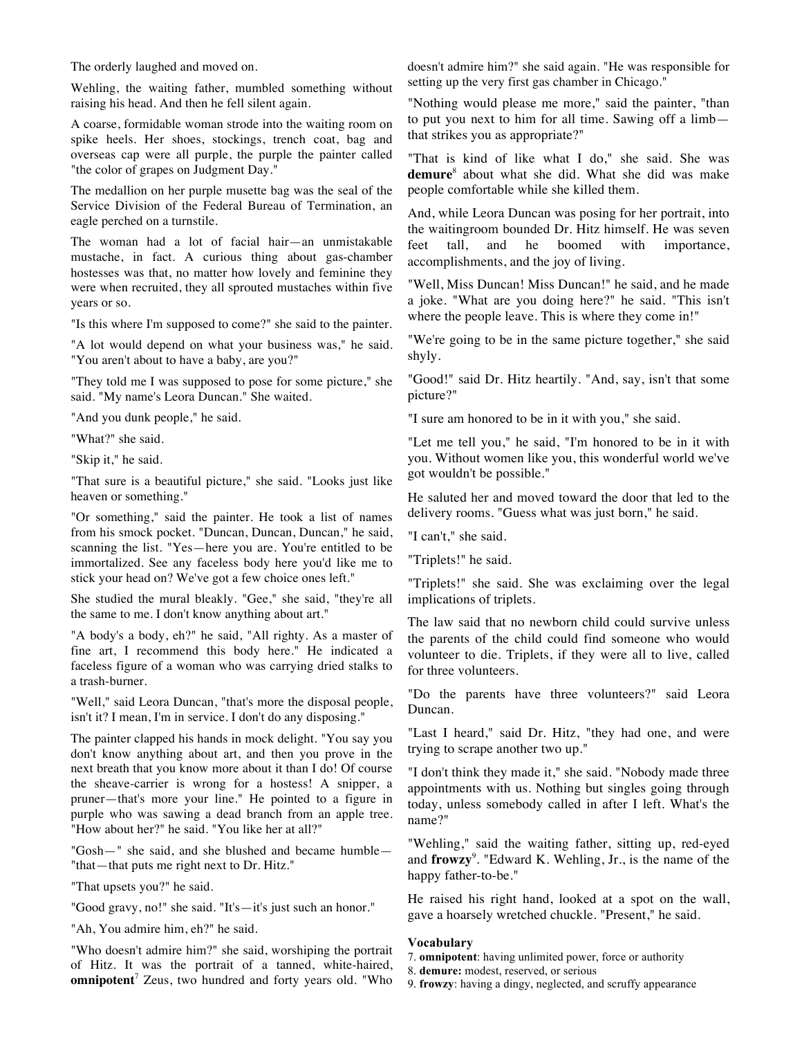The orderly laughed and moved on.

Wehling, the waiting father, mumbled something without raising his head. And then he fell silent again.

A coarse, formidable woman strode into the waiting room on spike heels. Her shoes, stockings, trench coat, bag and overseas cap were all purple, the purple the painter called "the color of grapes on Judgment Day."

The medallion on her purple musette bag was the seal of the Service Division of the Federal Bureau of Termination, an eagle perched on a turnstile.

The woman had a lot of facial hair—an unmistakable mustache, in fact. A curious thing about gas-chamber hostesses was that, no matter how lovely and feminine they were when recruited, they all sprouted mustaches within five years or so.

"Is this where I'm supposed to come?" she said to the painter.

"A lot would depend on what your business was," he said. "You aren't about to have a baby, are you?"

"They told me I was supposed to pose for some picture," she said. "My name's Leora Duncan." She waited.

"And you dunk people," he said.

"What?" she said.

"Skip it," he said.

"That sure is a beautiful picture," she said. "Looks just like heaven or something."

"Or something," said the painter. He took a list of names from his smock pocket. "Duncan, Duncan, Duncan," he said, scanning the list. "Yes—here you are. You're entitled to be immortalized. See any faceless body here you'd like me to stick your head on? We've got a few choice ones left."

She studied the mural bleakly. "Gee," she said, "they're all the same to me. I don't know anything about art."

"A body's a body, eh?" he said, "All righty. As a master of fine art, I recommend this body here." He indicated a faceless figure of a woman who was carrying dried stalks to a trash-burner.

"Well," said Leora Duncan, "that's more the disposal people, isn't it? I mean, I'm in service. I don't do any disposing."

The painter clapped his hands in mock delight. "You say you don't know anything about art, and then you prove in the next breath that you know more about it than I do! Of course the sheave-carrier is wrong for a hostess! A snipper, a pruner—that's more your line." He pointed to a figure in purple who was sawing a dead branch from an apple tree. "How about her?" he said. "You like her at all?"

"Gosh—" she said, and she blushed and became humble— "that—that puts me right next to Dr. Hitz."

"That upsets you?" he said.

"Good gravy, no!" she said. "It's—it's just such an honor."

"Ah, You admire him, eh?" he said.

"Who doesn't admire him?" she said, worshiping the portrait of Hitz. It was the portrait of a tanned, white-haired, **omnipotent**<sup>7</sup> Zeus, two hundred and forty years old. "Who doesn't admire him?" she said again. "He was responsible for setting up the very first gas chamber in Chicago."

"Nothing would please me more," said the painter, "than to put you next to him for all time. Sawing off a limb that strikes you as appropriate?"

"That is kind of like what I do," she said. She was **demure**<sup>8</sup> about what she did. What she did was make people comfortable while she killed them.

And, while Leora Duncan was posing for her portrait, into the waitingroom bounded Dr. Hitz himself. He was seven feet tall, and he boomed with importance, accomplishments, and the joy of living.

"Well, Miss Duncan! Miss Duncan!" he said, and he made a joke. "What are you doing here?" he said. "This isn't where the people leave. This is where they come in!"

"We're going to be in the same picture together," she said shyly.

"Good!" said Dr. Hitz heartily. "And, say, isn't that some picture?"

"I sure am honored to be in it with you," she said.

"Let me tell you," he said, "I'm honored to be in it with you. Without women like you, this wonderful world we've got wouldn't be possible."

He saluted her and moved toward the door that led to the delivery rooms. "Guess what was just born," he said.

"I can't," she said.

"Triplets!" he said.

"Triplets!" she said. She was exclaiming over the legal implications of triplets.

The law said that no newborn child could survive unless the parents of the child could find someone who would volunteer to die. Triplets, if they were all to live, called for three volunteers.

"Do the parents have three volunteers?" said Leora Duncan.

"Last I heard," said Dr. Hitz, "they had one, and were trying to scrape another two up."

"I don't think they made it," she said. "Nobody made three appointments with us. Nothing but singles going through today, unless somebody called in after I left. What's the name?"

"Wehling," said the waiting father, sitting up, red-eyed and **frowzy**<sup>9</sup> . "Edward K. Wehling, Jr., is the name of the happy father-to-be."

He raised his right hand, looked at a spot on the wall, gave a hoarsely wretched chuckle. "Present," he said.

### **Vocabulary**

7. **omnipotent**: having unlimited power, force or authority

- 8. **demure:** modest, reserved, or serious
- 9. **frowzy**: having a dingy, neglected, and scruffy appearance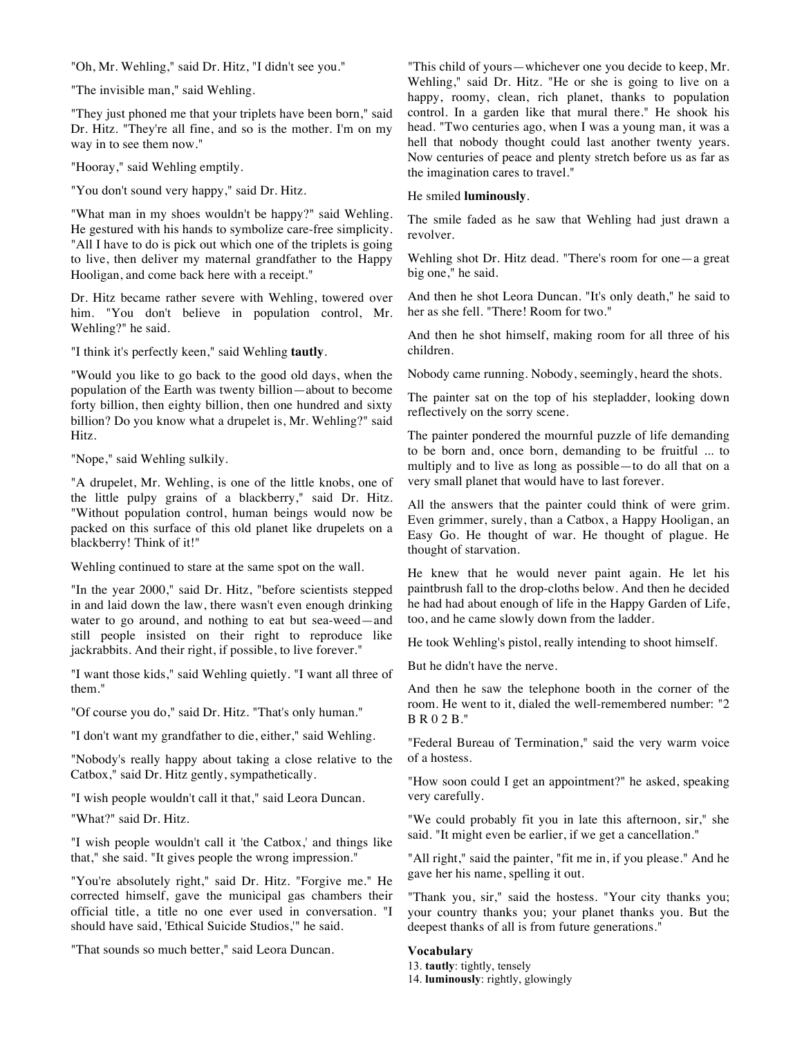"Oh, Mr. Wehling," said Dr. Hitz, "I didn't see you."

"The invisible man," said Wehling.

"They just phoned me that your triplets have been born," said Dr. Hitz. "They're all fine, and so is the mother. I'm on my way in to see them now."

"Hooray," said Wehling emptily.

"You don't sound very happy," said Dr. Hitz.

"What man in my shoes wouldn't be happy?" said Wehling. He gestured with his hands to symbolize care-free simplicity. "All I have to do is pick out which one of the triplets is going to live, then deliver my maternal grandfather to the Happy Hooligan, and come back here with a receipt."

Dr. Hitz became rather severe with Wehling, towered over him. "You don't believe in population control, Mr. Wehling?" he said.

"I think it's perfectly keen," said Wehling **tautly**.

"Would you like to go back to the good old days, when the population of the Earth was twenty billion—about to become forty billion, then eighty billion, then one hundred and sixty billion? Do you know what a drupelet is, Mr. Wehling?" said Hitz.

"Nope," said Wehling sulkily.

"A drupelet, Mr. Wehling, is one of the little knobs, one of the little pulpy grains of a blackberry," said Dr. Hitz. "Without population control, human beings would now be packed on this surface of this old planet like drupelets on a blackberry! Think of it!"

Wehling continued to stare at the same spot on the wall.

"In the year 2000," said Dr. Hitz, "before scientists stepped in and laid down the law, there wasn't even enough drinking water to go around, and nothing to eat but sea-weed—and still people insisted on their right to reproduce like jackrabbits. And their right, if possible, to live forever."

"I want those kids," said Wehling quietly. "I want all three of them<sup>"</sup>

"Of course you do," said Dr. Hitz. "That's only human."

"I don't want my grandfather to die, either," said Wehling.

"Nobody's really happy about taking a close relative to the Catbox," said Dr. Hitz gently, sympathetically.

"I wish people wouldn't call it that," said Leora Duncan.

"What?" said Dr. Hitz.

"I wish people wouldn't call it 'the Catbox,' and things like that," she said. "It gives people the wrong impression."

"You're absolutely right," said Dr. Hitz. "Forgive me." He corrected himself, gave the municipal gas chambers their official title, a title no one ever used in conversation. "I should have said, 'Ethical Suicide Studios,'" he said.

"That sounds so much better," said Leora Duncan.

"This child of yours—whichever one you decide to keep, Mr. Wehling," said Dr. Hitz. "He or she is going to live on a happy, roomy, clean, rich planet, thanks to population control. In a garden like that mural there." He shook his head. "Two centuries ago, when I was a young man, it was a hell that nobody thought could last another twenty years. Now centuries of peace and plenty stretch before us as far as the imagination cares to travel."

#### He smiled **luminously**.

The smile faded as he saw that Wehling had just drawn a revolver.

Wehling shot Dr. Hitz dead. "There's room for one—a great big one," he said.

And then he shot Leora Duncan. "It's only death," he said to her as she fell. "There! Room for two."

And then he shot himself, making room for all three of his children.

Nobody came running. Nobody, seemingly, heard the shots.

The painter sat on the top of his stepladder, looking down reflectively on the sorry scene.

The painter pondered the mournful puzzle of life demanding to be born and, once born, demanding to be fruitful ... to multiply and to live as long as possible—to do all that on a very small planet that would have to last forever.

All the answers that the painter could think of were grim. Even grimmer, surely, than a Catbox, a Happy Hooligan, an Easy Go. He thought of war. He thought of plague. He thought of starvation.

He knew that he would never paint again. He let his paintbrush fall to the drop-cloths below. And then he decided he had had about enough of life in the Happy Garden of Life, too, and he came slowly down from the ladder.

He took Wehling's pistol, really intending to shoot himself.

But he didn't have the nerve.

And then he saw the telephone booth in the corner of the room. He went to it, dialed the well-remembered number: "2 B R 0 2 B."

"Federal Bureau of Termination," said the very warm voice of a hostess.

"How soon could I get an appointment?" he asked, speaking very carefully.

"We could probably fit you in late this afternoon, sir," she said. "It might even be earlier, if we get a cancellation."

"All right," said the painter, "fit me in, if you please." And he gave her his name, spelling it out.

"Thank you, sir," said the hostess. "Your city thanks you; your country thanks you; your planet thanks you. But the deepest thanks of all is from future generations."

## **Vocabulary**

13. **tautly**: tightly, tensely

14. **luminously**: rightly, glowingly